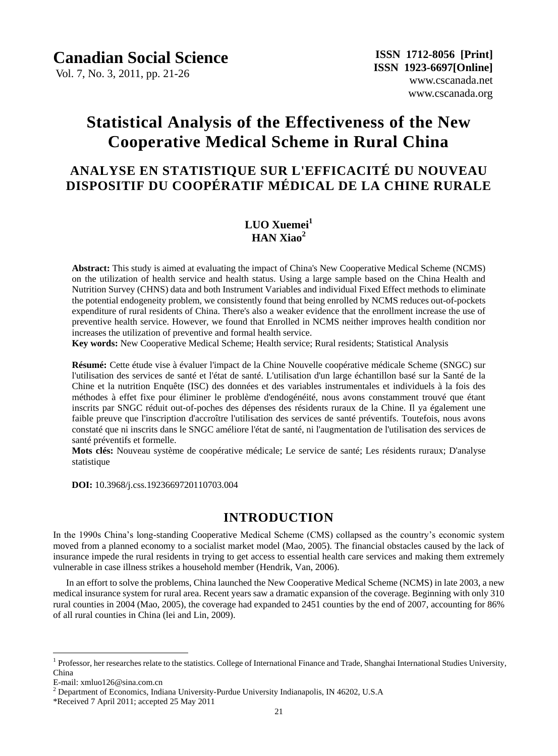Vol. 7, No. 3, 2011, pp. 21-26

# **Statistical Analysis of the Effectiveness of the New Cooperative Medical Scheme in Rural China**

# **ANALYSE EN STATISTIQUE SUR L'EFFICACITÉ DU NOUVEAU DISPOSITIF DU COOPÉRATIF MÉDICAL DE LA CHINE RURALE**

# **LUO Xuemei<sup>1</sup> HAN Xiao<sup>2</sup>**

**Abstract:** This study is aimed at evaluating the impact of China's New Cooperative Medical Scheme (NCMS) on the utilization of health service and health status. Using a large sample based on the China Health and Nutrition Survey (CHNS) data and both Instrument Variables and individual Fixed Effect methods to eliminate the potential endogeneity problem, we consistently found that being enrolled by NCMS reduces out-of-pockets expenditure of rural residents of China. There's also a weaker evidence that the enrollment increase the use of preventive health service. However, we found that Enrolled in NCMS neither improves health condition nor increases the utilization of preventive and formal health service.

**Key words:** New Cooperative Medical Scheme; Health service; Rural residents; Statistical Analysis

**Résumé:** Cette étude vise à évaluer l'impact de la Chine Nouvelle coopérative médicale Scheme (SNGC) sur l'utilisation des services de santé et l'état de santé. L'utilisation d'un large échantillon basé sur la Santé de la Chine et la nutrition Enquête (ISC) des données et des variables instrumentales et individuels à la fois des méthodes à effet fixe pour éliminer le problème d'endogénéité, nous avons constamment trouvé que étant inscrits par SNGC réduit out-of-poches des dépenses des résidents ruraux de la Chine. Il ya également une faible preuve que l'inscription d'accro îne l'utilisation des services de santé préventifs. Toutefois, nous avons constaté que ni inscrits dans le SNGC améliore l'état de santé, ni l'augmentation de l'utilisation des services de sant é préventifs et formelle.

**Mots clés:** Nouveau système de coopérative médicale; Le service de santé; Les résidents ruraux; D'analyse statistique

**DOI:** 10.3968/j.css.1923669720110703.004

## **INTRODUCTION**

In the 1990s China's long-standing Cooperative Medical Scheme (CMS) collapsed as the country's economic system moved from a planned economy to a socialist market model (Mao, 2005). The financial obstacles caused by the lack of insurance impede the rural residents in trying to get access to essential health care services and making them extremely vulnerable in case illness strikes a household member (Hendrik, Van, 2006).

In an effort to solve the problems, China launched the New Cooperative Medical Scheme (NCMS) in late 2003, a new medical insurance system for rural area. Recent years saw a dramatic expansion of the coverage. Beginning with only 310 rural counties in 2004 (Mao, 2005), the coverage had expanded to 2451 counties by the end of 2007, accounting for 86% of all rural counties in China (lei and Lin, 2009).

 $\overline{a}$ 

<sup>&</sup>lt;sup>1</sup> Professor, her researches relate to the statistics. College of International Finance and Trade, Shanghai International Studies University, China

E-mail: xmluo126@sina.com.cn

<sup>&</sup>lt;sup>2</sup> Department of Economics, Indiana University-Purdue University Indianapolis, IN 46202, U.S.A

<sup>\*</sup>Received 7 April 2011; accepted 25 May 2011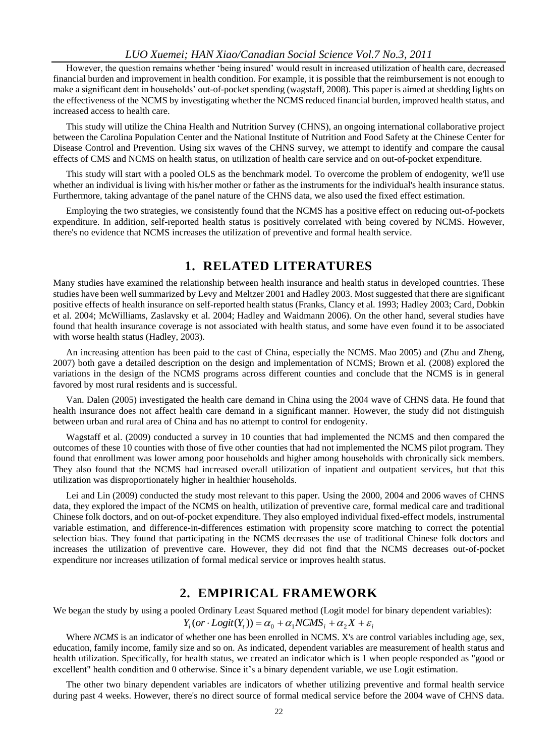#### *LUO Xuemei; HAN Xiao/Canadian Social Science Vol.7 No.3, 2011*

However, the question remains whether 'being insured' would result in increased utilization of health care, decreased financial burden and improvement in health condition. For example, it is possible that the reimbursement is not enough to make a significant dent in households' out-of-pocket spending (wagstaff, 2008). This paper is aimed at shedding lights on the effectiveness of the NCMS by investigating whether the NCMS reduced financial burden, improved health status, and increased access to health care.

This study will utilize the China Health and Nutrition Survey (CHNS), an ongoing international collaborative project between the Carolina Population Center and the National Institute of Nutrition and Food Safety at the Chinese Center for Disease Control and Prevention. Using six waves of the CHNS survey, we attempt to identify and compare the causal effects of CMS and NCMS on health status, on utilization of health care service and on out-of-pocket expenditure.

This study will start with a pooled OLS as the benchmark model. To overcome the problem of endogenity, we'll use whether an individual is living with his/her mother or father as the instruments for the individual's health insurance status. Furthermore, taking advantage of the panel nature of the CHNS data, we also used the fixed effect estimation.

Employing the two strategies, we consistently found that the NCMS has a positive effect on reducing out-of-pockets expenditure. In addition, self-reported health status is positively correlated with being covered by NCMS. However, there's no evidence that NCMS increases the utilization of preventive and formal health service.

## **1. RELATED LITERATURES**

Many studies have examined the relationship between health insurance and health status in developed countries. These studies have been well summarized by Levy and Meltzer 2001 and Hadley 2003. Most suggested that there are significant positive effects of health insurance on self-reported health status (Franks, Clancy et al. 1993; Hadley 2003; Card, Dobkin et al. 2004; McWilliams, Zaslavsky et al. 2004; Hadley and Waidmann 2006). On the other hand, several studies have found that health insurance coverage is not associated with health status, and some have even found it to be associated with worse health status (Hadley, 2003).

An increasing attention has been paid to the cast of China, especially the NCMS. Mao 2005) and (Zhu and Zheng, 2007) both gave a detailed description on the design and implementation of NCMS; Brown et al. (2008) explored the variations in the design of the NCMS programs across different counties and conclude that the NCMS is in general favored by most rural residents and is successful.

Van. Dalen (2005) investigated the health care demand in China using the 2004 wave of CHNS data. He found that health insurance does not affect health care demand in a significant manner. However, the study did not distinguish between urban and rural area of China and has no attempt to control for endogenity.

Wagstaff et al. (2009) conducted a survey in 10 counties that had implemented the NCMS and then compared the outcomes of these 10 counties with those of five other counties that had not implemented the NCMS pilot program. They found that enrollment was lower among poor households and higher among households with chronically sick members. They also found that the NCMS had increased overall utilization of inpatient and outpatient services, but that this utilization was disproportionately higher in healthier households.

Lei and Lin (2009) conducted the study most relevant to this paper. Using the 2000, 2004 and 2006 waves of CHNS data, they explored the impact of the NCMS on health, utilization of preventive care, formal medical care and traditional Chinese folk doctors, and on out-of-pocket expenditure. They also employed individual fixed-effect models, instrumental variable estimation, and difference-in-differences estimation with propensity score matching to correct the potential selection bias. They found that participating in the NCMS decreases the use of traditional Chinese folk doctors and increases the utilization of preventive care. However, they did not find that the NCMS decreases out-of-pocket expenditure nor increases utilization of formal medical service or improves health status.

### **2. EMPIRICAL FRAMEWORK**

We began the study by using a pooled Ordinary Least Squared method (Logit model for binary dependent variables):

### $Y_i (or \cdot Logit(Y_i)) = \alpha_0 + \alpha_1 NCMS_i + \alpha_2 X + \varepsilon_i$

Where *NCMS* is an indicator of whether one has been enrolled in NCMS. X's are control variables including age, sex, education, family income, family size and so on. As indicated, dependent variables are measurement of health status and health utilization. Specifically, for health status, we created an indicator which is 1 when people responded as "good or excellent" health condition and 0 otherwise. Since it's a binary dependent variable, we use Logit estimation.

The other two binary dependent variables are indicators of whether utilizing preventive and formal health service during past 4 weeks. However, there's no direct source of formal medical service before the 2004 wave of CHNS data.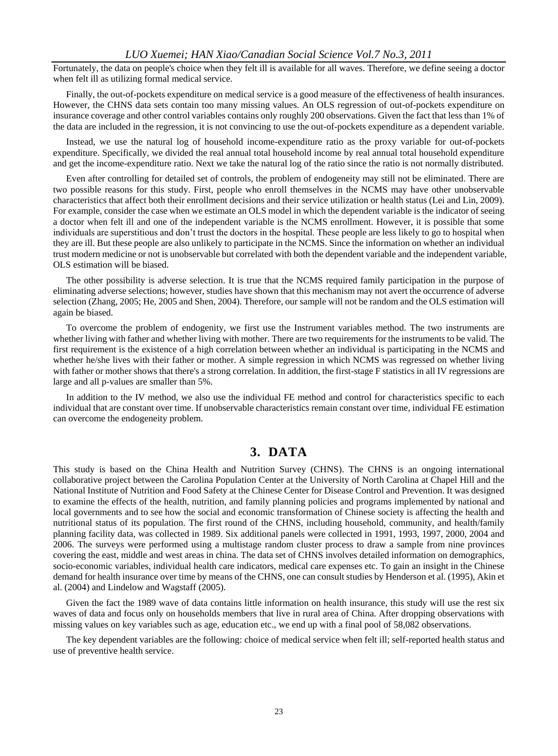#### *LUO Xuemei; HAN Xiao/Canadian Social Science Vol.7 No.3, 2011*

Fortunately, the data on people's choice when they felt ill is available for all waves. Therefore, we define seeing a doctor when felt ill as utilizing formal medical service.

Finally, the out-of-pockets expenditure on medical service is a good measure of the effectiveness of health insurances. However, the CHNS data sets contain too many missing values. An OLS regression of out-of-pockets expenditure on insurance coverage and other control variables contains only roughly 200 observations. Given the fact that less than 1% of the data are included in the regression, it is not convincing to use the out-of-pockets expenditure as a dependent variable.

Instead, we use the natural log of household income-expenditure ratio as the proxy variable for out-of-pockets expenditure. Specifically, we divided the real annual total household income by real annual total household expenditure and get the income-expenditure ratio. Next we take the natural log of the ratio since the ratio is not normally distributed.

Even after controlling for detailed set of controls, the problem of endogeneity may still not be eliminated. There are two possible reasons for this study. First, people who enroll themselves in the NCMS may have other unobservable characteristics that affect both their enrollment decisions and their service utilization or health status (Lei and Lin, 2009). For example, consider the case when we estimate an OLS model in which the dependent variable is the indicator of seeing a doctor when felt ill and one of the independent variable is the NCMS enrollment. However, it is possible that some individuals are superstitious and don't trust the doctors in the hospital. These people are less likely to go to hospital when they are ill. But these people are also unlikely to participate in the NCMS. Since the information on whether an individual trust modern medicine or not is unobservable but correlated with both the dependent variable and the independent variable, OLS estimation will be biased.

The other possibility is adverse selection. It is true that the NCMS required family participation in the purpose of eliminating adverse selections; however, studies have shown that this mechanism may not avert the occurrence of adverse selection (Zhang, 2005; He, 2005 and Shen, 2004). Therefore, our sample will not be random and the OLS estimation will again be biased.

To overcome the problem of endogenity, we first use the Instrument variables method. The two instruments are whether living with father and whether living with mother. There are two requirements for the instruments to be valid. The first requirement is the existence of a high correlation between whether an individual is participating in the NCMS and whether he/she lives with their father or mother. A simple regression in which NCMS was regressed on whether living with father or mother shows that there's a strong correlation. In addition, the first-stage F statistics in all IV regressions are large and all p-values are smaller than 5%.

In addition to the IV method, we also use the individual FE method and control for characteristics specific to each individual that are constant over time. If unobservable characteristics remain constant over time, individual FE estimation can overcome the endogeneity problem.

# **3. DATA**

This study is based on the China Health and Nutrition Survey (CHNS). The CHNS is an ongoing international collaborative project between the Carolina Population Center at the University of North Carolina at Chapel Hill and the National Institute of Nutrition and Food Safety at the Chinese Center for Disease Control and Prevention. It was designed to examine the effects of the health, nutrition, and family planning policies and programs implemented by national and local governments and to see how the social and economic transformation of Chinese society is affecting the health and nutritional status of its population. The first round of the CHNS, including household, community, and health/family planning facility data, was collected in 1989. Six additional panels were collected in 1991, 1993, 1997, 2000, 2004 and 2006. The surveys were performed using a multistage random cluster process to draw a sample from nine provinces covering the east, middle and west areas in china. The data set of CHNS involves detailed information on demographics, socio-economic variables, individual health care indicators, medical care expenses etc. To gain an insight in the Chinese demand for health insurance over time by means of the CHNS, one can consult studies by Henderson et al. (1995), Akin et al. (2004) and Lindelow and Wagstaff (2005).

Given the fact the 1989 wave of data contains little information on health insurance, this study will use the rest six waves of data and focus only on households members that live in rural area of China. After dropping observations with missing values on key variables such as age, education etc., we end up with a final pool of 58,082 observations.

The key dependent variables are the following: choice of medical service when felt ill; self-reported health status and use of preventive health service.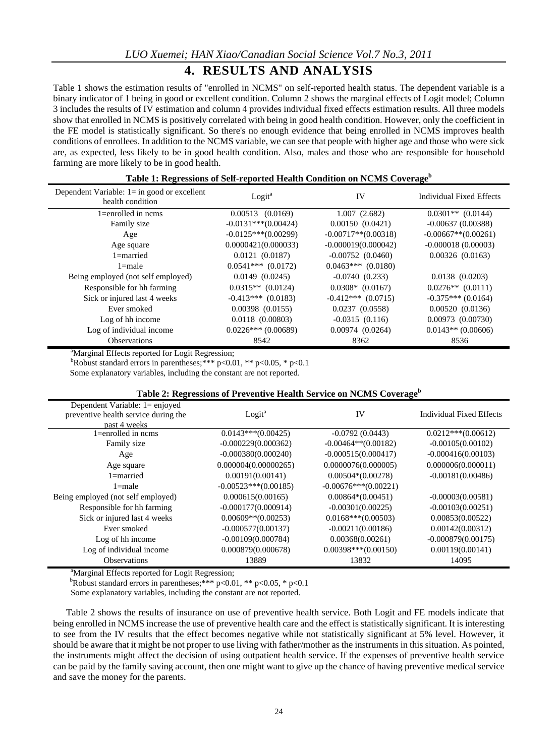# **4. RESULTS AND ANALYSIS**

Table 1 shows the estimation results of "enrolled in NCMS" on self-reported health status. The dependent variable is a binary indicator of 1 being in good or excellent condition. Column 2 shows the marginal effects of Logit model; Column 3 includes the results of IV estimation and column 4 provides individual fixed effects estimation results. All three models show that enrolled in NCMS is positively correlated with being in good health condition. However, only the coefficient in the FE model is statistically significant. So there's no enough evidence that being enrolled in NCMS improves health conditions of enrollees. In addition to the NCMS variable, we can see that people with higher age and those who were sick are, as expected, less likely to be in good health condition. Also, males and those who are responsible for household farming are more likely to be in good health.

| Table 1: Regressions of Self-reported Health Condition on NCMS Coverage <sup>b</sup> |
|--------------------------------------------------------------------------------------|
|--------------------------------------------------------------------------------------|

| Dependent Variable: $l = in good$ or excellent<br>health condition | $Logit^a$             | IV                     | Individual Fixed Effects |
|--------------------------------------------------------------------|-----------------------|------------------------|--------------------------|
| $1 =$ enrolled in ncms                                             | $0.00513$ $(0.0169)$  | 1.007(2.682)           | $0.0301**$ (0.0144)      |
| Family size                                                        | $-0.0131***(0.00424)$ | 0.00150(0.0421)        | $-0.00637(0.00388)$      |
| Age                                                                | $-0.0125***(0.00299)$ | $-0.00717**$ (0.00318) | $-0.00667**$ (0.00261)   |
| Age square                                                         | 0.0000421(0.000033)   | $-0.000019(0.000042)$  | $-0.000018(0.00003)$     |
| $1 =$ married                                                      | 0.0121(0.0187)        | $-0.00752(0.0460)$     | 0.00326(0.0163)          |
| $1$ =male                                                          | $0.0541***$ (0.0172)  | $0.0463***$ $(0.0180)$ |                          |
| Being employed (not self employed)                                 | 0.0149(0.0245)        | $-0.0740(0.233)$       | 0.0138(0.0203)           |
| Responsible for hh farming                                         | $0.0315**$ (0.0124)   | $0.0308*$ (0.0167)     | $0.0276**$ (0.0111)      |
| Sick or injured last 4 weeks                                       | $-0.413***$ (0.0183)  | $-0.412***$ (0.0715)   | $-0.375***(0.0164)$      |
| Ever smoked                                                        | $0.00398$ $(0.0155)$  | 0.0237(0.0558)         | 0.00520(0.0136)          |
| Log of hh income                                                   | $0.0118$ $(0.00803)$  | $-0.0315(0.116)$       | 0.00973(0.00730)         |
| Log of individual income                                           | $0.0226***$ (0.00689) | 0.00974(0.0264)        | $0.0143**$ (0.00606)     |
| <b>Observations</b>                                                | 8542                  | 8362                   | 8536                     |

<sup>a</sup>Marginal Effects reported for Logit Regression;

<sup>b</sup>Robust standard errors in parentheses;\*\*\* p<0.01, \*\* p<0.05, \* p<0.1

Some explanatory variables, including the constant are not reported.

### **Table 2: Regressions of Preventive Health Service on NCMS Coverage<sup>b</sup>**

| Dependent Variable: 1= enjoyed       |                        |                        |                          |
|--------------------------------------|------------------------|------------------------|--------------------------|
| preventive health service during the | Logit <sup>a</sup>     | IV                     | Individual Fixed Effects |
| past 4 weeks                         |                        |                        |                          |
| $1 =$ enrolled in ncms               | $0.0143***(0.00425)$   | $-0.0792(0.0443)$      | $0.0212***(0.00612)$     |
| Family size                          | $-0.000229(0.000362)$  | $-0.00464**$ (0.00182) | $-0.00105(0.00102)$      |
| Age                                  | $-0.000380(0.000240)$  | $-0.000515(0.000417)$  | $-0.000416(0.00103)$     |
| Age square                           | 0.000004(0.00000265)   | 0.0000076(0.000005)    | 0.000006(0.000011)       |
| $1 =$ married                        | 0.00191(0.00141)       | $0.00504*(0.00278)$    | $-0.00181(0.00486)$      |
| $1$ =male                            | $-0.00523***(0.00185)$ | $-0.00676***(0.00221)$ |                          |
| Being employed (not self employed)   | 0.000615(0.00165)      | $0.00864*(0.00451)$    | $-0.00003(0.00581)$      |
| Responsible for hh farming           | $-0.000177(0.000914)$  | $-0.00301(0.00225)$    | $-0.00103(0.00251)$      |
| Sick or injured last 4 weeks         | $0.00609**$ (0.00253)  | $0.0168***(0.00503)$   | 0.00853(0.00522)         |
| Ever smoked                          | $-0.000577(0.00137)$   | $-0.00211(0.00186)$    | 0.00142(0.00312)         |
| Log of hh income                     | $-0.00109(0.000784)$   | 0.00368(0.00261)       | $-0.000879(0.00175)$     |
| Log of individual income             | 0.000879(0.000678)     | $0.00398***(0.00150)$  | 0.00119(0.00141)         |
| <b>Observations</b>                  | 13889                  | 13832                  | 14095                    |

<sup>a</sup>Marginal Effects reported for Logit Regression;

<sup>b</sup>Robust standard errors in parentheses;\*\*\* p<0.01, \*\* p<0.05, \* p<0.1

Some explanatory variables, including the constant are not reported.

Table 2 shows the results of insurance on use of preventive health service. Both Logit and FE models indicate that being enrolled in NCMS increase the use of preventive health care and the effect is statistically significant. It is interesting to see from the IV results that the effect becomes negative while not statistically significant at 5% level. However, it should be aware that it might be not proper to use living with father/mother as the instruments in this situation. As pointed, the instruments might affect the decision of using outpatient health service. If the expenses of preventive health service can be paid by the family saving account, then one might want to give up the chance of having preventive medical service and save the money for the parents.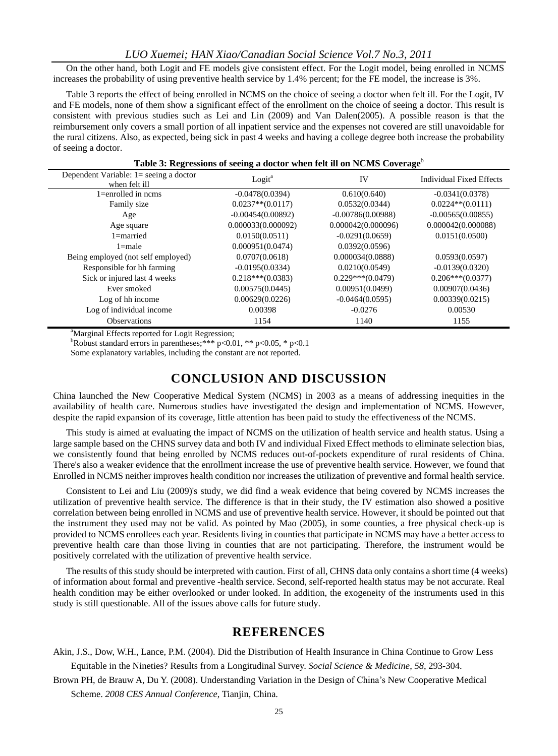#### *LUO Xuemei; HAN Xiao/Canadian Social Science Vol.7 No.3, 2011*

On the other hand, both Logit and FE models give consistent effect. For the Logit model, being enrolled in NCMS increases the probability of using preventive health service by 1.4% percent; for the FE model, the increase is 3%.

Table 3 reports the effect of being enrolled in NCMS on the choice of seeing a doctor when felt ill. For the Logit, IV and FE models, none of them show a significant effect of the enrollment on the choice of seeing a doctor. This result is consistent with previous studies such as Lei and Lin (2009) and Van Dalen(2005). A possible reason is that the reimbursement only covers a small portion of all inpatient service and the expenses not covered are still unavoidable for the rural citizens. Also, as expected, being sick in past 4 weeks and having a college degree both increase the probability of seeing a doctor.

| Table 5. Regressions of seeing a doctor when felt in on recivity coverage |                     |                     |                                 |  |  |
|---------------------------------------------------------------------------|---------------------|---------------------|---------------------------------|--|--|
| Dependent Variable: 1= seeing a doctor<br>when felt ill                   | Logit <sup>a</sup>  | IV                  | <b>Individual Fixed Effects</b> |  |  |
| $1 =$ enrolled in ncms                                                    | $-0.0478(0.0394)$   | 0.610(0.640)        | $-0.0341(0.0378)$               |  |  |
| Family size                                                               | $0.0237**$ (0.0117) | 0.0532(0.0344)      | $0.0224**$ (0.0111)             |  |  |
| Age                                                                       | $-0.00454(0.00892)$ | $-0.00786(0.00988)$ | $-0.00565(0.00855)$             |  |  |
| Age square                                                                | 0.000033(0.000092)  | 0.000042(0.000096)  | 0.000042(0.000088)              |  |  |
| $1 =$ married                                                             | 0.0150(0.0511)      | $-0.0291(0.0659)$   | 0.0151(0.0500)                  |  |  |
| $1 = male$                                                                | 0.000951(0.0474)    | 0.0392(0.0596)      |                                 |  |  |
| Being employed (not self employed)                                        | 0.0707(0.0618)      | 0.000034(0.0888)    | 0.0593(0.0597)                  |  |  |
| Responsible for hh farming                                                | $-0.0195(0.0334)$   | 0.0210(0.0549)      | $-0.0139(0.0320)$               |  |  |
| Sick or injured last 4 weeks                                              | $0.218***(0.0383)$  | $0.229***(0.0479)$  | $0.206***(0.0377)$              |  |  |
| Ever smoked                                                               | 0.00575(0.0445)     | 0.00951(0.0499)     | 0.00907(0.0436)                 |  |  |
| Log of hh income                                                          | 0.00629(0.0226)     | $-0.0464(0.0595)$   | 0.00339(0.0215)                 |  |  |
| Log of individual income                                                  | 0.00398             | $-0.0276$           | 0.00530                         |  |  |
| <b>Observations</b>                                                       | 1154                | 1140                | 1155                            |  |  |

#### **Table 3: Regressions of seeing a doctor when felt ill on NCMS Coverage**<sup>b</sup>

<sup>a</sup>Marginal Effects reported for Logit Regression;

<sup>b</sup>Robust standard errors in parentheses;\*\*\* p<0.01, \*\* p<0.05, \* p<0.1

Some explanatory variables, including the constant are not reported.

### **CONCLUSION AND DISCUSSION**

China launched the New Cooperative Medical System (NCMS) in 2003 as a means of addressing inequities in the availability of health care. Numerous studies have investigated the design and implementation of NCMS. However, despite the rapid expansion of its coverage, little attention has been paid to study the effectiveness of the NCMS.

This study is aimed at evaluating the impact of NCMS on the utilization of health service and health status. Using a large sample based on the CHNS survey data and both IV and individual Fixed Effect methods to eliminate selection bias, we consistently found that being enrolled by NCMS reduces out-of-pockets expenditure of rural residents of China. There's also a weaker evidence that the enrollment increase the use of preventive health service. However, we found that Enrolled in NCMS neither improves health condition nor increases the utilization of preventive and formal health service.

Consistent to Lei and Liu (2009)'s study, we did find a weak evidence that being covered by NCMS increases the utilization of preventive health service. The difference is that in their study, the IV estimation also showed a positive correlation between being enrolled in NCMS and use of preventive health service. However, it should be pointed out that the instrument they used may not be valid. As pointed by Mao (2005), in some counties, a free physical check-up is provided to NCMS enrollees each year. Residents living in counties that participate in NCMS may have a better access to preventive health care than those living in counties that are not participating. Therefore, the instrument would be positively correlated with the utilization of preventive health service.

The results of this study should be interpreted with caution. First of all, CHNS data only contains a short time (4 weeks) of information about formal and preventive -health service. Second, self-reported health status may be not accurate. Real health condition may be either overlooked or under looked. In addition, the exogeneity of the instruments used in this study is still questionable. All of the issues above calls for future study.

### **REFERENCES**

Akin, J.S., Dow, W.H., Lance, P.M. (2004). Did the Distribution of Health Insurance in China Continue to Grow Less Equitable in the Nineties? Results from a Longitudinal Survey. *Social Science & Medicine*, *58*, 293-304.

Brown PH, de Brauw A, Du Y. (2008). Understanding Variation in the Design of China's New Cooperative Medical Scheme. *2008 CES Annual Conference*, Tianjin, China.